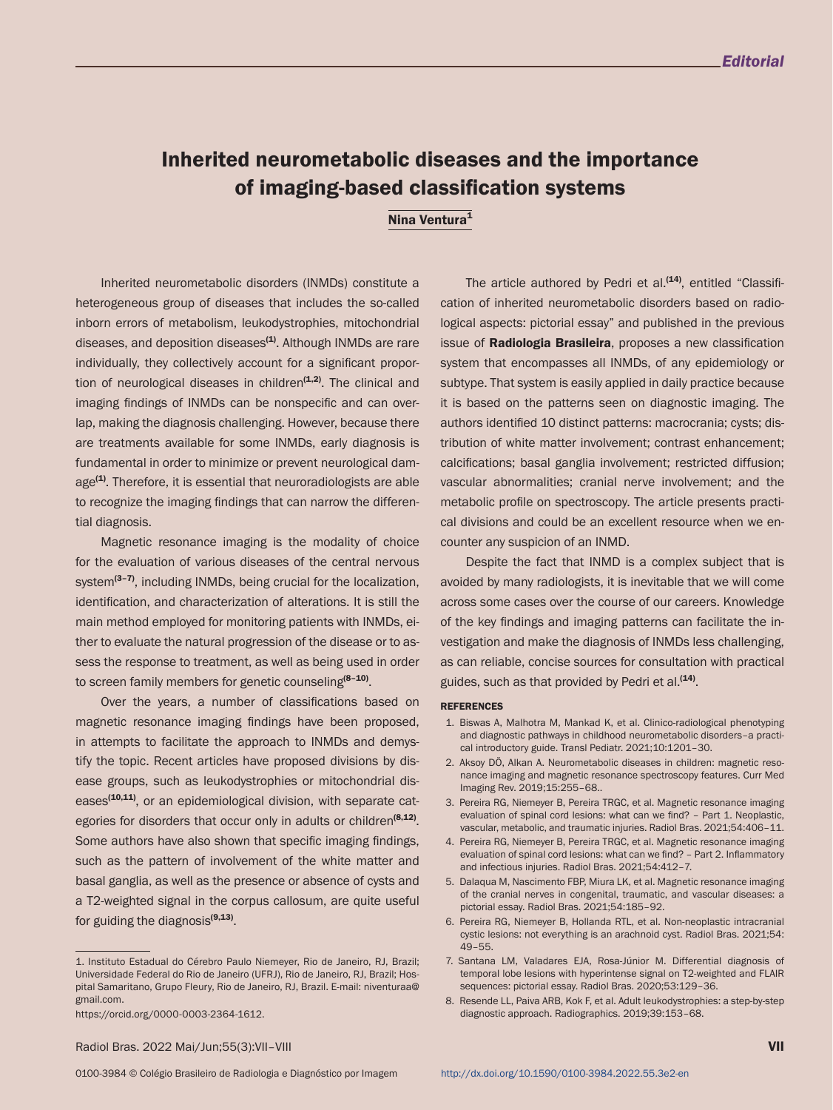## Inherited neurometabolic diseases and the importance of imaging-based classification systems

## Nina Ventura1

Inherited neurometabolic disorders (INMDs) constitute a heterogeneous group of diseases that includes the so-called inborn errors of metabolism, leukodystrophies, mitochondrial diseases, and deposition diseases<sup>(1)</sup>. Although INMDs are rare individually, they collectively account for a significant proportion of neurological diseases in children $(1,2)$ . The clinical and imaging findings of INMDs can be nonspecific and can overlap, making the diagnosis challenging. However, because there are treatments available for some INMDs, early diagnosis is fundamental in order to minimize or prevent neurological damage<sup>(1)</sup>. Therefore, it is essential that neuroradiologists are able to recognize the imaging findings that can narrow the differential diagnosis.

Magnetic resonance imaging is the modality of choice for the evaluation of various diseases of the central nervous system<sup>(3-7)</sup>, including INMDs, being crucial for the localization, identification, and characterization of alterations. It is still the main method employed for monitoring patients with INMDs, either to evaluate the natural progression of the disease or to assess the response to treatment, as well as being used in order to screen family members for genetic counseling<sup>(8-10)</sup>.

Over the years, a number of classifications based on magnetic resonance imaging findings have been proposed, in attempts to facilitate the approach to INMDs and demystify the topic. Recent articles have proposed divisions by disease groups, such as leukodystrophies or mitochondrial diseases<sup>(10,11)</sup>, or an epidemiological division, with separate categories for disorders that occur only in adults or children<sup>(8,12)</sup>. Some authors have also shown that specific imaging findings, such as the pattern of involvement of the white matter and basal ganglia, as well as the presence or absence of cysts and a T2-weighted signal in the corpus callosum, are quite useful for guiding the diagnosis<sup>(9,13)</sup>.

Radiol Bras. 2022 Mai/Jun;55(3):VII–VIII VII

The article authored by Pedri et al.<sup>(14)</sup>, entitled "Classification of inherited neurometabolic disorders based on radiological aspects: pictorial essay" and published in the previous issue of **Radiologia Brasileira**, proposes a new classification system that encompasses all INMDs, of any epidemiology or subtype. That system is easily applied in daily practice because it is based on the patterns seen on diagnostic imaging. The authors identified 10 distinct patterns: macrocrania; cysts; distribution of white matter involvement; contrast enhancement; calcifications; basal ganglia involvement; restricted diffusion; vascular abnormalities; cranial nerve involvement; and the metabolic profile on spectroscopy. The article presents practical divisions and could be an excellent resource when we encounter any suspicion of an INMD.

Despite the fact that INMD is a complex subject that is avoided by many radiologists, it is inevitable that we will come across some cases over the course of our careers. Knowledge of the key findings and imaging patterns can facilitate the investigation and make the diagnosis of INMDs less challenging, as can reliable, concise sources for consultation with practical guides, such as that provided by Pedri et al.<sup>(14)</sup>.

## **REFERENCES**

- 1. Biswas A, Malhotra M, Mankad K, et al. Clinico-radiological phenotyping and diagnostic pathways in childhood neurometabolic disorders–a practical introductory guide. Transl Pediatr. 2021;10:1201–30.
- 2. Aksoy DÖ, Alkan A. Neurometabolic diseases in children: magnetic resonance imaging and magnetic resonance spectroscopy features. Curr Med Imaging Rev. 2019;15:255–68..
- 3. Pereira RG, Niemeyer B, Pereira TRGC, et al. Magnetic resonance imaging evaluation of spinal cord lesions: what can we find? - Part 1. Neoplastic, vascular, metabolic, and traumatic injuries. Radiol Bras. 2021;54:406–11.
- 4. Pereira RG, Niemeyer B, Pereira TRGC, et al. Magnetic resonance imaging evaluation of spinal cord lesions: what can we find? – Part 2. Inflammatory and infectious injuries. Radiol Bras. 2021;54:412–7.
- 5. Dalaqua M, Nascimento FBP, Miura LK, et al. Magnetic resonance imaging of the cranial nerves in congenital, traumatic, and vascular diseases: a pictorial essay. Radiol Bras. 2021;54:185–92.
- 6. Pereira RG, Niemeyer B, Hollanda RTL, et al. Non-neoplastic intracranial cystic lesions: not everything is an arachnoid cyst. Radiol Bras. 2021;54: 49–55.
- 7. Santana LM, Valadares EJA, Rosa-Júnior M. Differential diagnosis of temporal lobe lesions with hyperintense signal on T2-weighted and FLAIR sequences: pictorial essay. Radiol Bras. 2020;53:129–36.
- 8. Resende LL, Paiva ARB, Kok F, et al. Adult leukodystrophies: a step-by-step diagnostic approach. Radiographics. 2019;39:153–68.

<sup>1.</sup> Instituto Estadual do Cérebro Paulo Niemeyer, Rio de Janeiro, RJ, Brazil; Universidade Federal do Rio de Janeiro (UFRJ), Rio de Janeiro, RJ, Brazil; Hospital Samaritano, Grupo Fleury, Rio de Janeiro, RJ, Brazil. E-mail: niventuraa@ gmail.com.

https://orcid.org/0000-0003-2364-1612.